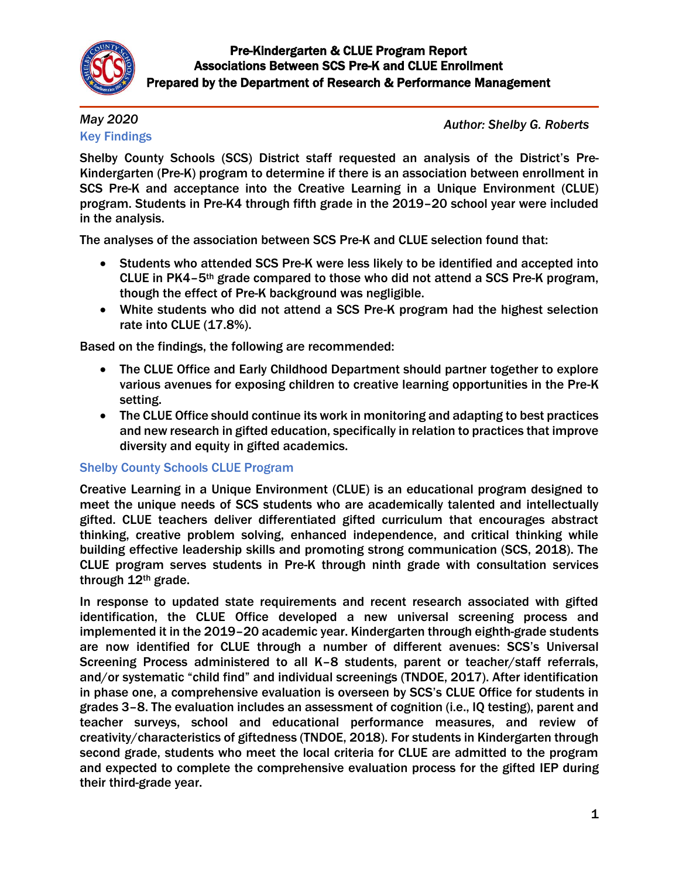

## *May 2020* Key Findings

*Author: Shelby G. Roberts*

Shelby County Schools (SCS) District staff requested an analysis of the District's Pre-Kindergarten (Pre-K) program to determine if there is an association between enrollment in SCS Pre-K and acceptance into the Creative Learning in a Unique Environment (CLUE) program. Students in Pre-K4 through fifth grade in the 2019–20 school year were included in the analysis.

The analyses of the association between SCS Pre-K and CLUE selection found that:

- Students who attended SCS Pre-K were less likely to be identified and accepted into CLUE in PK4–5th grade compared to those who did not attend a SCS Pre-K program, though the effect of Pre-K background was negligible.
- White students who did not attend a SCS Pre-K program had the highest selection rate into CLUE (17.8%).

Based on the findings, the following are recommended:

- The CLUE Office and Early Childhood Department should partner together to explore various avenues for exposing children to creative learning opportunities in the Pre-K setting.
- The CLUE Office should continue its work in monitoring and adapting to best practices and new research in gifted education, specifically in relation to practices that improve diversity and equity in gifted academics.

## Shelby County Schools CLUE Program

Creative Learning in a Unique Environment (CLUE) is an educational program designed to meet the unique needs of SCS students who are academically talented and intellectually gifted. CLUE teachers deliver differentiated gifted curriculum that encourages abstract thinking, creative problem solving, enhanced independence, and critical thinking while building effective leadership skills and promoting strong communication (SCS, 2018). The CLUE program serves students in Pre-K through ninth grade with consultation services through 12th grade.

In response to updated state requirements and recent research associated with gifted identification, the CLUE Office developed a new universal screening process and implemented it in the 2019–20 academic year. Kindergarten through eighth-grade students are now identified for CLUE through a number of different avenues: SCS's Universal Screening Process administered to all K–8 students, parent or teacher/staff referrals, and/or systematic "child find" and individual screenings (TNDOE, 2017). After identification in phase one, a comprehensive evaluation is overseen by SCS's CLUE Office for students in grades 3–8. The evaluation includes an assessment of cognition (i.e., IQ testing), parent and teacher surveys, school and educational performance measures, and review of creativity/characteristics of giftedness (TNDOE, 2018). For students in Kindergarten through second grade, students who meet the local criteria for CLUE are admitted to the program and expected to complete the comprehensive evaluation process for the gifted IEP during their third-grade year.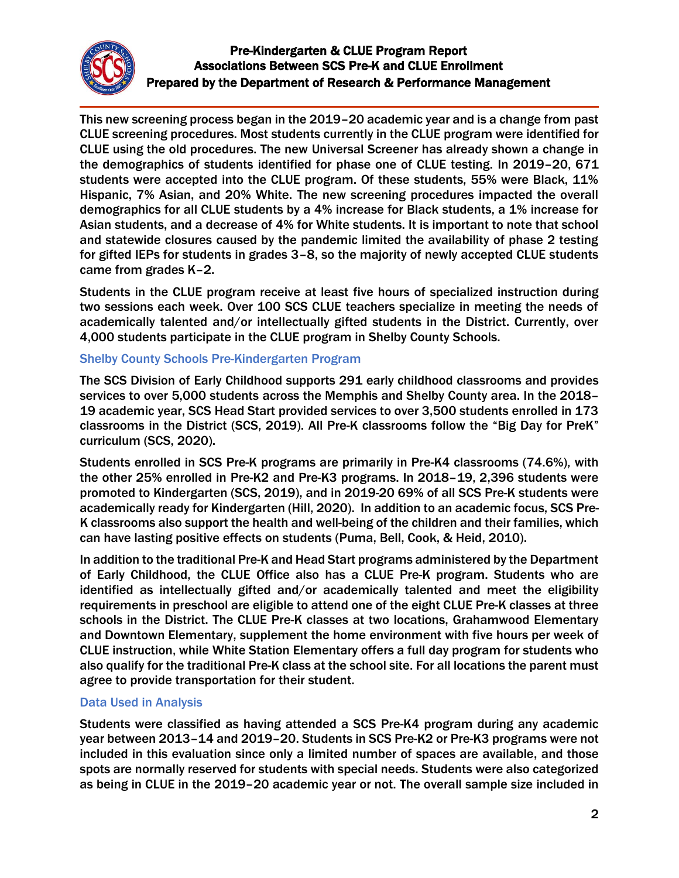

This new screening process began in the 2019–20 academic year and is a change from past CLUE screening procedures. Most students currently in the CLUE program were identified for CLUE using the old procedures. The new Universal Screener has already shown a change in the demographics of students identified for phase one of CLUE testing. In 2019–20, 671 students were accepted into the CLUE program. Of these students, 55% were Black, 11% Hispanic, 7% Asian, and 20% White. The new screening procedures impacted the overall demographics for all CLUE students by a 4% increase for Black students, a 1% increase for Asian students, and a decrease of 4% for White students. It is important to note that school and statewide closures caused by the pandemic limited the availability of phase 2 testing for gifted IEPs for students in grades 3–8, so the majority of newly accepted CLUE students came from grades K–2.

Students in the CLUE program receive at least five hours of specialized instruction during two sessions each week. Over 100 SCS CLUE teachers specialize in meeting the needs of academically talented and/or intellectually gifted students in the District. Currently, over 4,000 students participate in the CLUE program in Shelby County Schools.

## Shelby County Schools Pre-Kindergarten Program

The SCS Division of Early Childhood supports 291 early childhood classrooms and provides services to over 5,000 students across the Memphis and Shelby County area. In the 2018– 19 academic year, SCS Head Start provided services to over 3,500 students enrolled in 173 classrooms in the District (SCS, 2019). All Pre-K classrooms follow the "Big Day for PreK" curriculum (SCS, 2020).

Students enrolled in SCS Pre-K programs are primarily in Pre-K4 classrooms (74.6%), with the other 25% enrolled in Pre-K2 and Pre-K3 programs. In 2018–19, 2,396 students were promoted to Kindergarten (SCS, 2019), and in 2019-20 69% of all SCS Pre-K students were academically ready for Kindergarten (Hill, 2020). In addition to an academic focus, SCS Pre-K classrooms also support the health and well-being of the children and their families, which can have lasting positive effects on students (Puma, Bell, Cook, & Heid, 2010).

In addition to the traditional Pre-K and Head Start programs administered by the Department of Early Childhood, the CLUE Office also has a CLUE Pre-K program. Students who are identified as intellectually gifted and/or academically talented and meet the eligibility requirements in preschool are eligible to attend one of the eight CLUE Pre-K classes at three schools in the District. The CLUE Pre-K classes at two locations, Grahamwood Elementary and Downtown Elementary, supplement the home environment with five hours per week of CLUE instruction, while White Station Elementary offers a full day program for students who also qualify for the traditional Pre-K class at the school site. For all locations the parent must agree to provide transportation for their student.

## Data Used in Analysis

Students were classified as having attended a SCS Pre-K4 program during any academic year between 2013–14 and 2019–20. Students in SCS Pre-K2 or Pre-K3 programs were not included in this evaluation since only a limited number of spaces are available, and those spots are normally reserved for students with special needs. Students were also categorized as being in CLUE in the 2019–20 academic year or not. The overall sample size included in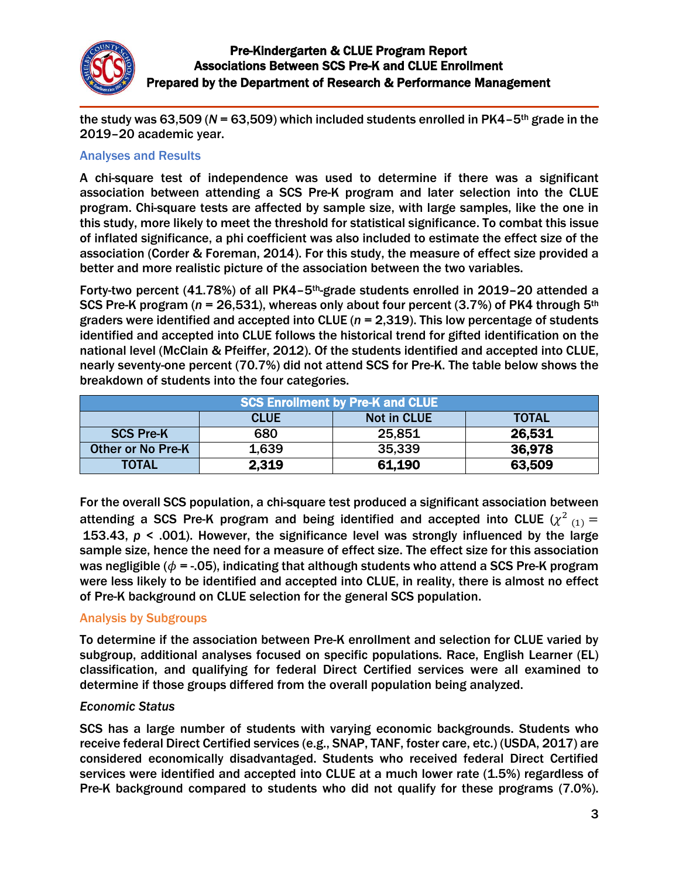

the study was 63,509 (*N* = 63,509) which included students enrolled in PK4–5th grade in the 2019–20 academic year.

#### Analyses and Results

A chi-square test of independence was used to determine if there was a significant association between attending a SCS Pre-K program and later selection into the CLUE program. Chi-square tests are affected by sample size, with large samples, like the one in this study, more likely to meet the threshold for statistical significance. To combat this issue of inflated significance, a phi coefficient was also included to estimate the effect size of the association (Corder & Foreman, 2014). For this study, the measure of effect size provided a better and more realistic picture of the association between the two variables.

Forty-two percent (41.78%) of all PK4–5th-grade students enrolled in 2019–20 attended a SCS Pre-K program (*n* = 26,531), whereas only about four percent (3.7%) of PK4 through 5th graders were identified and accepted into CLUE (*n* = 2,319). This low percentage of students identified and accepted into CLUE follows the historical trend for gifted identification on the national level (McClain & Pfeiffer, 2012). Of the students identified and accepted into CLUE, nearly seventy-one percent (70.7%) did not attend SCS for Pre-K. The table below shows the breakdown of students into the four categories.

| <b>SCS Enrollment by Pre-K and CLUE</b> |             |             |              |
|-----------------------------------------|-------------|-------------|--------------|
|                                         | <b>CLUE</b> | Not in CLUE | <b>TOTAL</b> |
| <b>SCS Pre-K</b>                        | 680         | 25,851      | 26,531       |
| <b>Other or No Pre-K</b>                | 1,639       | 35,339      | 36,978       |
| <b>TOTAL</b>                            | 2,319       | 61,190      | 63,509       |

For the overall SCS population, a chi-square test produced a significant association between attending a SCS Pre-K program and being identified and accepted into CLUE  $(\chi^2_{-(1)}=$ 153.43, *p* < .001). However, the significance level was strongly influenced by the large sample size, hence the need for a measure of effect size. The effect size for this association was negligible ( $\phi$  = -.05), indicating that although students who attend a SCS Pre-K program were less likely to be identified and accepted into CLUE, in reality, there is almost no effect of Pre-K background on CLUE selection for the general SCS population.

## Analysis by Subgroups

To determine if the association between Pre-K enrollment and selection for CLUE varied by subgroup, additional analyses focused on specific populations. Race, English Learner (EL) classification, and qualifying for federal Direct Certified services were all examined to determine if those groups differed from the overall population being analyzed.

#### *Economic Status*

SCS has a large number of students with varying economic backgrounds. Students who receive federal Direct Certified services (e.g., SNAP, TANF, foster care, etc.) (USDA, 2017) are considered economically disadvantaged. Students who received federal Direct Certified services were identified and accepted into CLUE at a much lower rate (1.5%) regardless of Pre-K background compared to students who did not qualify for these programs (7.0%).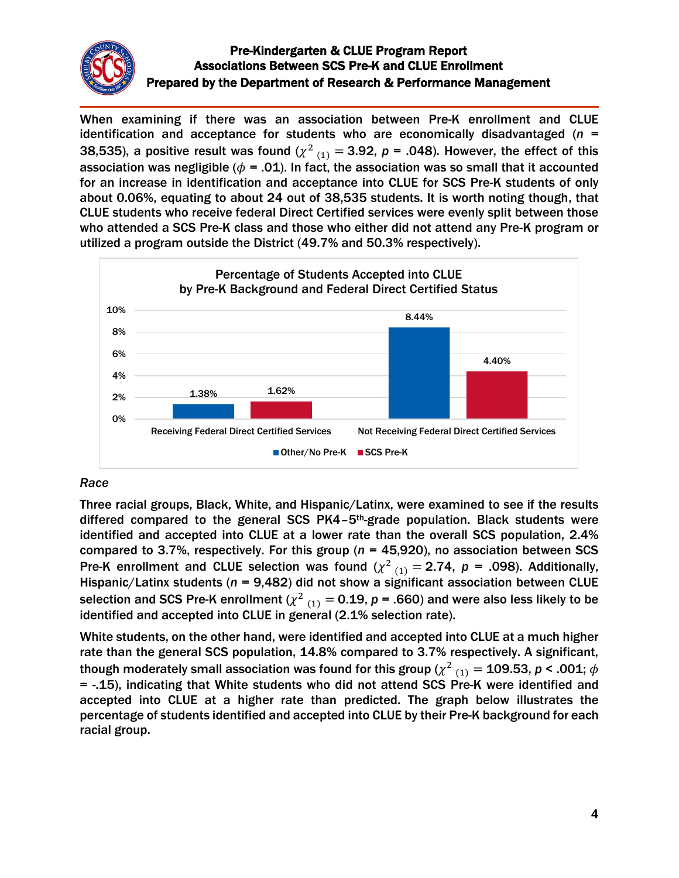

When examining if there was an association between Pre-K enrollment and CLUE identification and acceptance for students who are economically disadvantaged (*n* = 38,535), a positive result was found ( $\chi^2_{(1)} =$  3.92,  $\bm{\mathsf{p}}$  = .048). However, the effect of this association was negligible ( $\phi$  = .01). In fact, the association was so small that it accounted for an increase in identification and acceptance into CLUE for SCS Pre-K students of only about 0.06%, equating to about 24 out of 38,535 students. It is worth noting though, that CLUE students who receive federal Direct Certified services were evenly split between those who attended a SCS Pre-K class and those who either did not attend any Pre-K program or utilized a program outside the District (49.7% and 50.3% respectively).



## *Race*

Three racial groups, Black, White, and Hispanic/Latinx, were examined to see if the results differed compared to the general SCS PK4–5th-grade population. Black students were identified and accepted into CLUE at a lower rate than the overall SCS population, 2.4% compared to 3.7%, respectively. For this group (*n* = 45,920), no association between SCS Pre-K enrollment and CLUE selection was found  $(\chi^2)_{(1)} = 2.74$ ,  $p = .098$ ). Additionally, Hispanic/Latinx students (*n* = 9,482) did not show a significant association between CLUE selection and SCS Pre-K enrollment ( $\chi^2_{(1)} =$  0.19,  $p$  = .660) and were also less likely to be identified and accepted into CLUE in general (2.1% selection rate).

White students, on the other hand, were identified and accepted into CLUE at a much higher rate than the general SCS population, 14.8% compared to 3.7% respectively. A significant, though moderately small association was found for this group ( $\chi^2_{-(1)} =$  109.53,  $\pmb{\rho}$  < .001;  $\pmb{\phi}$ = -.15), indicating that White students who did not attend SCS Pre-K were identified and accepted into CLUE at a higher rate than predicted. The graph below illustrates the percentage of students identified and accepted into CLUE by their Pre-K background for each racial group.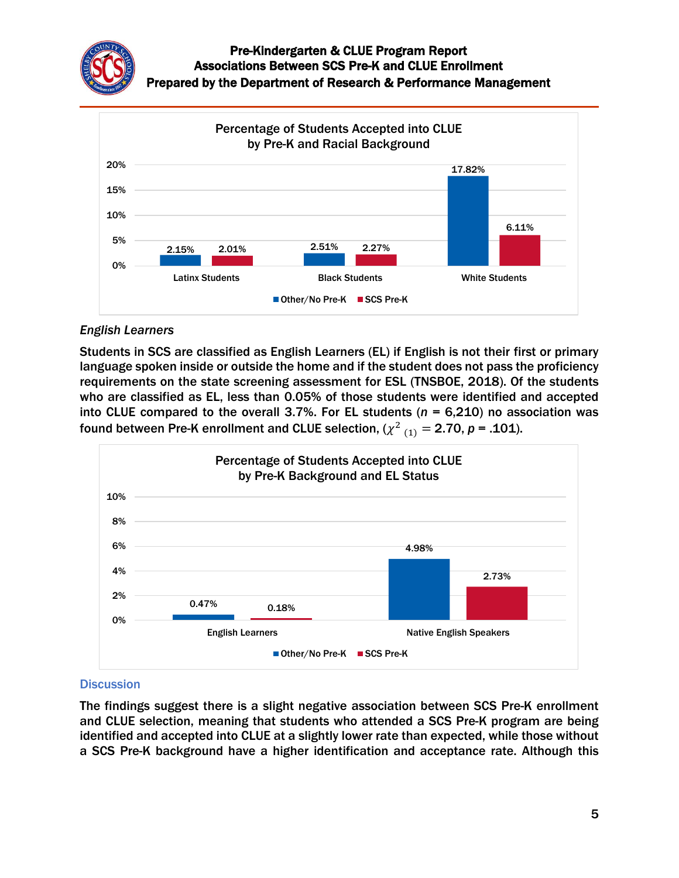

## *English Learners*

Students in SCS are classified as English Learners (EL) if English is not their first or primary language spoken inside or outside the home and if the student does not pass the proficiency requirements on the state screening assessment for ESL (TNSBOE, 2018). Of the students who are classified as EL, less than 0.05% of those students were identified and accepted into CLUE compared to the overall 3.7%. For EL students (*n* = 6,210) no association was found between Pre-K enrollment and CLUE selection, ( $\chi^2_{(1)} = 2.70$ ,  $p = .101$ ).



# **Discussion**

The findings suggest there is a slight negative association between SCS Pre-K enrollment and CLUE selection, meaning that students who attended a SCS Pre-K program are being identified and accepted into CLUE at a slightly lower rate than expected, while those without a SCS Pre-K background have a higher identification and acceptance rate. Although this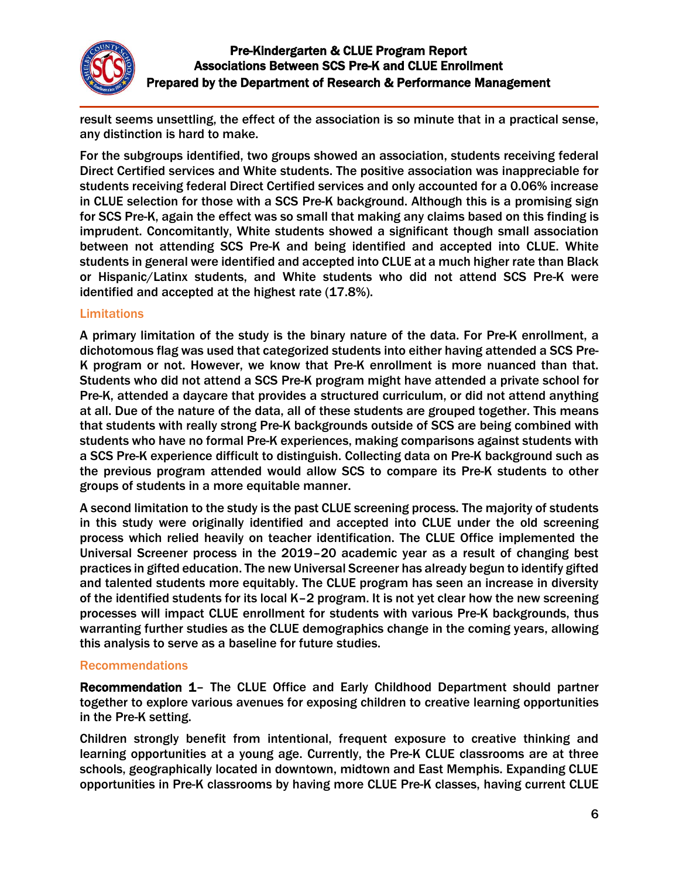

result seems unsettling, the effect of the association is so minute that in a practical sense, any distinction is hard to make.

For the subgroups identified, two groups showed an association, students receiving federal Direct Certified services and White students. The positive association was inappreciable for students receiving federal Direct Certified services and only accounted for a 0.06% increase in CLUE selection for those with a SCS Pre-K background. Although this is a promising sign for SCS Pre-K, again the effect was so small that making any claims based on this finding is imprudent. Concomitantly, White students showed a significant though small association between not attending SCS Pre-K and being identified and accepted into CLUE. White students in general were identified and accepted into CLUE at a much higher rate than Black or Hispanic/Latinx students, and White students who did not attend SCS Pre-K were identified and accepted at the highest rate (17.8%).

#### Limitations

A primary limitation of the study is the binary nature of the data. For Pre-K enrollment, a dichotomous flag was used that categorized students into either having attended a SCS Pre-K program or not. However, we know that Pre-K enrollment is more nuanced than that. Students who did not attend a SCS Pre-K program might have attended a private school for Pre-K, attended a daycare that provides a structured curriculum, or did not attend anything at all. Due of the nature of the data, all of these students are grouped together. This means that students with really strong Pre-K backgrounds outside of SCS are being combined with students who have no formal Pre-K experiences, making comparisons against students with a SCS Pre-K experience difficult to distinguish. Collecting data on Pre-K background such as the previous program attended would allow SCS to compare its Pre-K students to other groups of students in a more equitable manner.

A second limitation to the study is the past CLUE screening process. The majority of students in this study were originally identified and accepted into CLUE under the old screening process which relied heavily on teacher identification. The CLUE Office implemented the Universal Screener process in the 2019–20 academic year as a result of changing best practices in gifted education. The new Universal Screener has already begun to identify gifted and talented students more equitably. The CLUE program has seen an increase in diversity of the identified students for its local K–2 program. It is not yet clear how the new screening processes will impact CLUE enrollment for students with various Pre-K backgrounds, thus warranting further studies as the CLUE demographics change in the coming years, allowing this analysis to serve as a baseline for future studies.

#### Recommendations

Recommendation 1– The CLUE Office and Early Childhood Department should partner together to explore various avenues for exposing children to creative learning opportunities in the Pre-K setting.

Children strongly benefit from intentional, frequent exposure to creative thinking and learning opportunities at a young age. Currently, the Pre-K CLUE classrooms are at three schools, geographically located in downtown, midtown and East Memphis. Expanding CLUE opportunities in Pre-K classrooms by having more CLUE Pre-K classes, having current CLUE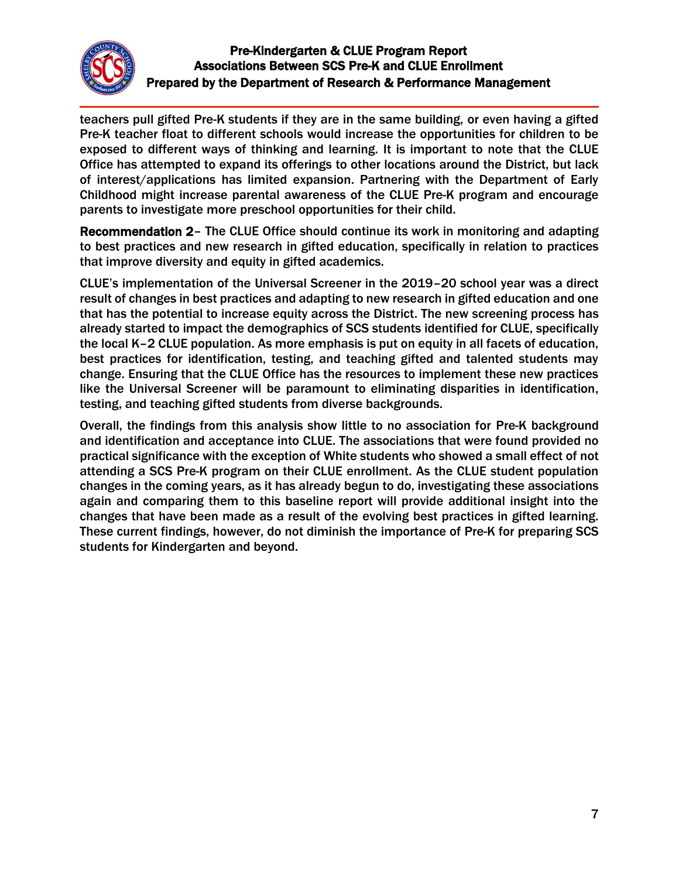

teachers pull gifted Pre-K students if they are in the same building, or even having a gifted Pre-K teacher float to different schools would increase the opportunities for children to be exposed to different ways of thinking and learning. It is important to note that the CLUE Office has attempted to expand its offerings to other locations around the District, but lack of interest/applications has limited expansion. Partnering with the Department of Early Childhood might increase parental awareness of the CLUE Pre-K program and encourage parents to investigate more preschool opportunities for their child.

Recommendation 2– The CLUE Office should continue its work in monitoring and adapting to best practices and new research in gifted education, specifically in relation to practices that improve diversity and equity in gifted academics.

CLUE's implementation of the Universal Screener in the 2019–20 school year was a direct result of changes in best practices and adapting to new research in gifted education and one that has the potential to increase equity across the District. The new screening process has already started to impact the demographics of SCS students identified for CLUE, specifically the local K–2 CLUE population. As more emphasis is put on equity in all facets of education, best practices for identification, testing, and teaching gifted and talented students may change. Ensuring that the CLUE Office has the resources to implement these new practices like the Universal Screener will be paramount to eliminating disparities in identification, testing, and teaching gifted students from diverse backgrounds.

Overall, the findings from this analysis show little to no association for Pre-K background and identification and acceptance into CLUE. The associations that were found provided no practical significance with the exception of White students who showed a small effect of not attending a SCS Pre-K program on their CLUE enrollment. As the CLUE student population changes in the coming years, as it has already begun to do, investigating these associations again and comparing them to this baseline report will provide additional insight into the changes that have been made as a result of the evolving best practices in gifted learning. These current findings, however, do not diminish the importance of Pre-K for preparing SCS students for Kindergarten and beyond.